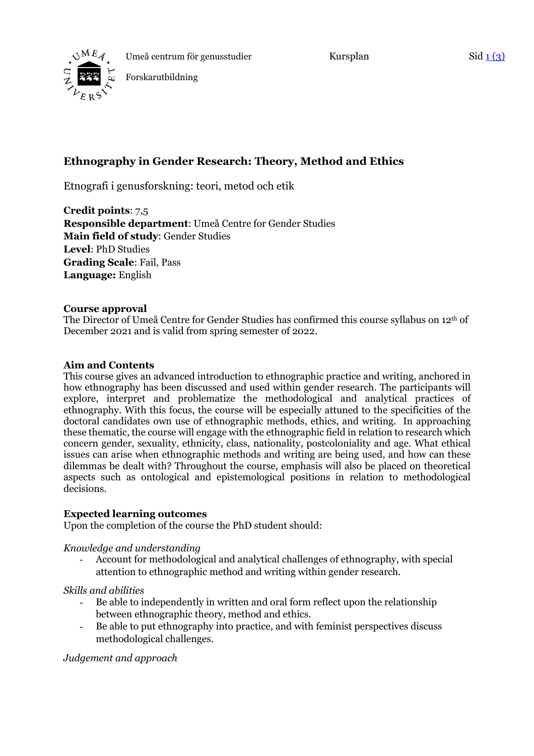

Kursplan Sid 1 (3)



Forskarutbildning

# **Ethnography in Gender Research: Theory, Method and Ethics**

Etnografi i genusforskning: teori, metod och etik

**Credit points**: 7,5 **Responsible department**: Umeå Centre for Gender Studies **Main field of study**: Gender Studies **Level**: PhD Studies **Grading Scale**: Fail, Pass **Language:** English

#### **Course approval**

The Director of Umeå Centre for Gender Studies has confirmed this course syllabus on 12th of December 2021 and is valid from spring semester of 2022.

#### **Aim and Contents**

This course gives an advanced introduction to ethnographic practice and writing, anchored in how ethnography has been discussed and used within gender research. The participants will explore, interpret and problematize the methodological and analytical practices of ethnography. With this focus, the course will be especially attuned to the specificities of the doctoral candidates own use of ethnographic methods, ethics, and writing. In approaching these thematic, the course will engage with the ethnographic field in relation to research which concern gender, sexuality, ethnicity, class, nationality, postcoloniality and age. What ethical issues can arise when ethnographic methods and writing are being used, and how can these dilemmas be dealt with? Throughout the course, emphasis will also be placed on theoretical aspects such as ontological and epistemological positions in relation to methodological decisions.

#### **Expected learning outcomes**

Upon the completion of the course the PhD student should:

#### *Knowledge and understanding*

- Account for methodological and analytical challenges of ethnography, with special attention to ethnographic method and writing within gender research.

#### *Skills and abilities*

- Be able to independently in written and oral form reflect upon the relationship between ethnographic theory, method and ethics.
- Be able to put ethnography into practice, and with feminist perspectives discuss methodological challenges.

## *Judgement and approach*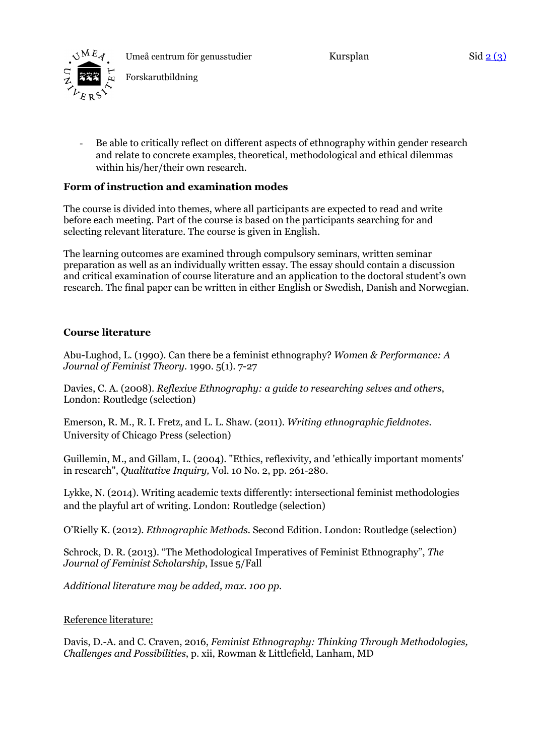

Kursplan Sid 2 (3)

Forskarutbildning

- Be able to critically reflect on different aspects of ethnography within gender research and relate to concrete examples, theoretical, methodological and ethical dilemmas within his/her/their own research.

## **Form of instruction and examination modes**

The course is divided into themes, where all participants are expected to read and write before each meeting. Part of the course is based on the participants searching for and selecting relevant literature. The course is given in English.

The learning outcomes are examined through compulsory seminars, written seminar preparation as well as an individually written essay. The essay should contain a discussion and critical examination of course literature and an application to the doctoral student's own research. The final paper can be written in either English or Swedish, Danish and Norwegian.

### **Course literature**

Abu-Lughod, L. (1990). Can there be a feminist ethnography? *Women & Performance: A Journal of Feminist Theory.* 1990. 5(1). 7-27

Davies, C. A. (2008). *Reflexive Ethnography: a guide to researching selves and others*, London: Routledge (selection)

Emerson, R. M., R. I. Fretz, and L. L. Shaw. (2011). *Writing ethnographic fieldnotes.* University of Chicago Press (selection)

Guillemin, M., and Gillam, L. (2004). "Ethics, reflexivity, and 'ethically important moments' in research", *Qualitative Inquiry,* Vol. 10 No. 2, pp. 261-280.

Lykke, N. (2014). Writing academic texts differently: intersectional feminist methodologies and the playful art of writing. London: Routledge (selection)

O'Rielly K. (2012). *Ethnographic Methods.* Second Edition. London: Routledge (selection)

Schrock, D. R. (2013). "The Methodological Imperatives of Feminist Ethnography", *The Journal of Feminist Scholarship*, Issue 5/Fall

*Additional literature may be added, max. 100 pp.*

#### Reference literature:

Davis, D.-A. and C. Craven, 2016, *Feminist Ethnography: Thinking Through Methodologies, Challenges and Possibilities*, p. xii, Rowman & Littlefield, Lanham, MD